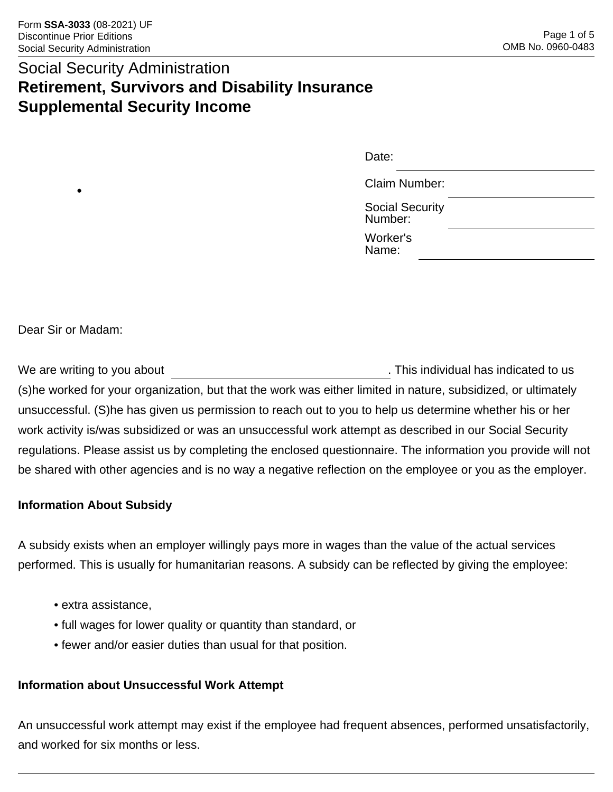## Social Security Administration **Retirement, Survivors and Disability Insurance Supplemental Security Income**

| Date:                             |  |
|-----------------------------------|--|
| Claim Number:                     |  |
| <b>Social Security</b><br>Number: |  |
| Worker's<br>Name:                 |  |

Dear Sir or Madam:

•

We are writing to you about **Example 20** and the set of the set of the SN and This individual has indicated to us (s)he worked for your organization, but that the work was either limited in nature, subsidized, or ultimately unsuccessful. (S)he has given us permission to reach out to you to help us determine whether his or her work activity is/was subsidized or was an unsuccessful work attempt as described in our Social Security regulations. Please assist us by completing the enclosed questionnaire. The information you provide will not be shared with other agencies and is no way a negative reflection on the employee or you as the employer.

#### **Information About Subsidy**

A subsidy exists when an employer willingly pays more in wages than the value of the actual services performed. This is usually for humanitarian reasons. A subsidy can be reflected by giving the employee:

- extra assistance,
- full wages for lower quality or quantity than standard, or
- fewer and/or easier duties than usual for that position.

#### **Information about Unsuccessful Work Attempt**

An unsuccessful work attempt may exist if the employee had frequent absences, performed unsatisfactorily, and worked for six months or less.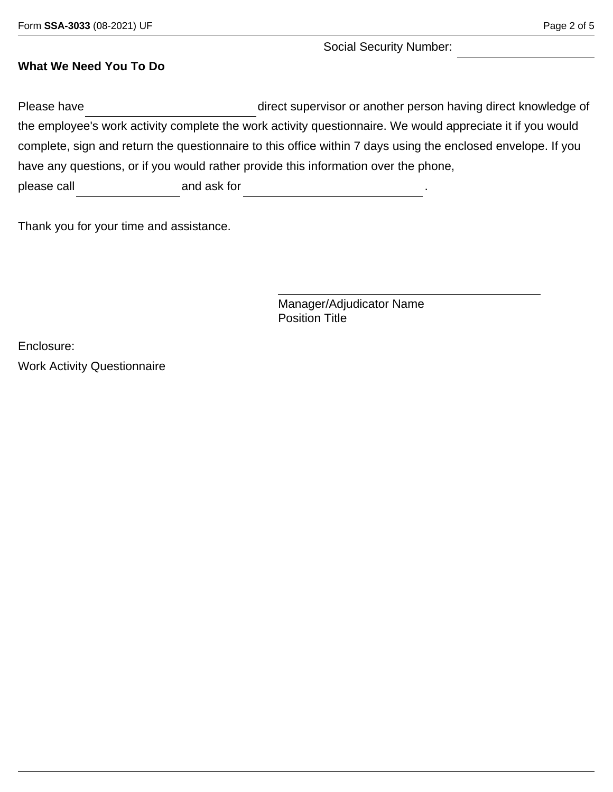Social Security Number:

#### **What We Need You To Do**

Please have **Example 20** direct supervisor or another person having direct knowledge of the employee's work activity complete the work activity questionnaire. We would appreciate it if you would complete, sign and return the questionnaire to this office within 7 days using the enclosed envelope. If you have any questions, or if you would rather provide this information over the phone, please call and ask for

Thank you for your time and assistance.

Manager/Adjudicator Name Position Title

Enclosure:

Work Activity Questionnaire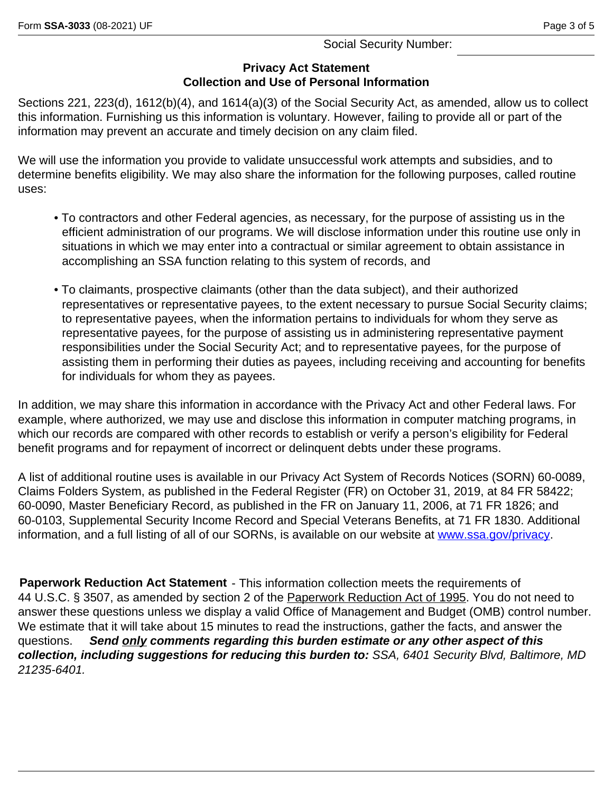Social Security Number:

#### **Privacy Act Statement Collection and Use of Personal Information**

Sections 221, 223(d), 1612(b)(4), and 1614(a)(3) of the Social Security Act, as amended, allow us to collect this information. Furnishing us this information is voluntary. However, failing to provide all or part of the information may prevent an accurate and timely decision on any claim filed.

We will use the information you provide to validate unsuccessful work attempts and subsidies, and to determine benefits eligibility. We may also share the information for the following purposes, called routine uses:

- To contractors and other Federal agencies, as necessary, for the purpose of assisting us in the efficient administration of our programs. We will disclose information under this routine use only in situations in which we may enter into a contractual or similar agreement to obtain assistance in accomplishing an SSA function relating to this system of records, and
- To claimants, prospective claimants (other than the data subject), and their authorized representatives or representative payees, to the extent necessary to pursue Social Security claims; to representative payees, when the information pertains to individuals for whom they serve as representative payees, for the purpose of assisting us in administering representative payment responsibilities under the Social Security Act; and to representative payees, for the purpose of assisting them in performing their duties as payees, including receiving and accounting for benefits for individuals for whom they as payees.

In addition, we may share this information in accordance with the Privacy Act and other Federal laws. For example, where authorized, we may use and disclose this information in computer matching programs, in which our records are compared with other records to establish or verify a person's eligibility for Federal benefit programs and for repayment of incorrect or delinquent debts under these programs.

A list of additional routine uses is available in our Privacy Act System of Records Notices (SORN) 60-0089, Claims Folders System, as published in the Federal Register (FR) on October 31, 2019, at 84 FR 58422; 60-0090, Master Beneficiary Record, as published in the FR on January 11, 2006, at 71 FR 1826; and 60-0103, Supplemental Security Income Record and Special Veterans Benefits, at 71 FR 1830. Additional information, and a full listing of all of our SORNs, is available on our website at [www.ssa.gov/privacy.](www.ssa.gov/privacy)

**Paperwork Reduction Act Statement** - This information collection meets the requirements of 44 U.S.C. § 3507, as amended by section 2 of the Paperwork Reduction Act of 1995. You do not need to answer these questions unless we display a valid Office of Management and Budget (OMB) control number. We estimate that it will take about 15 minutes to read the instructions, gather the facts, and answer the questions. *Send only comments regarding this burden estimate or any other aspect of this collection, including suggestions for reducing this burden to: SSA, 6401 Security Blvd, Baltimore, MD 21235-6401.*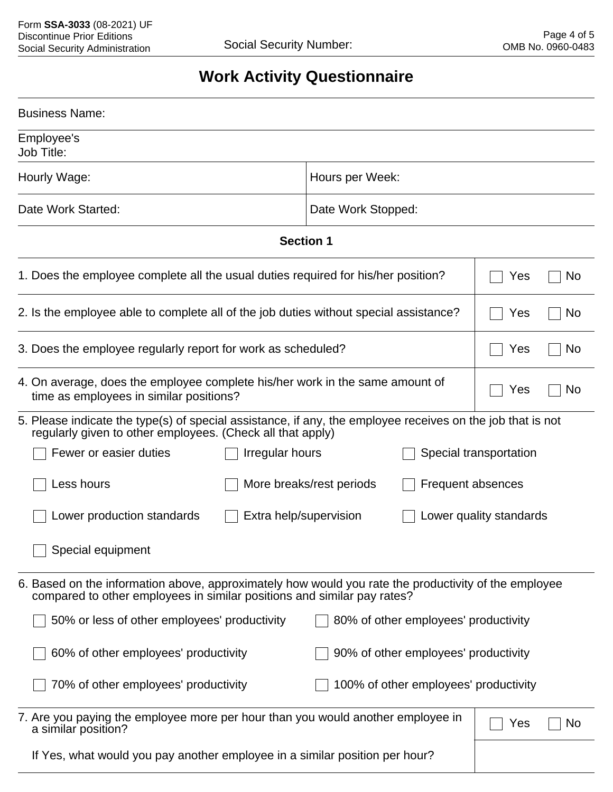# **Work Activity Questionnaire**

| <b>Business Name:</b>                                                                                                                                                           |                                               |                         |  |  |
|---------------------------------------------------------------------------------------------------------------------------------------------------------------------------------|-----------------------------------------------|-------------------------|--|--|
| Employee's<br>Job Title:                                                                                                                                                        |                                               |                         |  |  |
| Hourly Wage:                                                                                                                                                                    | Hours per Week:                               |                         |  |  |
| Date Work Started:                                                                                                                                                              | Date Work Stopped:                            |                         |  |  |
| <b>Section 1</b>                                                                                                                                                                |                                               |                         |  |  |
| 1. Does the employee complete all the usual duties required for his/her position?                                                                                               |                                               | Yes<br><b>No</b>        |  |  |
| 2. Is the employee able to complete all of the job duties without special assistance?                                                                                           |                                               | <b>No</b><br>Yes        |  |  |
| 3. Does the employee regularly report for work as scheduled?                                                                                                                    |                                               | No<br>Yes               |  |  |
| 4. On average, does the employee complete his/her work in the same amount of<br>time as employees in similar positions?                                                         |                                               | No<br>Yes               |  |  |
| 5. Please indicate the type(s) of special assistance, if any, the employee receives on the job that is not<br>regularly given to other employees. (Check all that apply)        |                                               |                         |  |  |
| Fewer or easier duties<br>Irregular hours                                                                                                                                       | Special transportation                        |                         |  |  |
| Less hours                                                                                                                                                                      | More breaks/rest periods<br>Frequent absences |                         |  |  |
| Lower production standards<br>Extra help/supervision                                                                                                                            |                                               | Lower quality standards |  |  |
| Special equipment                                                                                                                                                               |                                               |                         |  |  |
| 6. Based on the information above, approximately how would you rate the productivity of the employee<br>compared to other employees in similar positions and similar pay rates? |                                               |                         |  |  |
| 50% or less of other employees' productivity                                                                                                                                    | 80% of other employees' productivity          |                         |  |  |
| 60% of other employees' productivity                                                                                                                                            | 90% of other employees' productivity          |                         |  |  |
| 70% of other employees' productivity<br>100% of other employees' productivity                                                                                                   |                                               |                         |  |  |
| 7. Are you paying the employee more per hour than you would another employee in<br>a similar position?                                                                          |                                               | No<br>Yes               |  |  |
| If Yes, what would you pay another employee in a similar position per hour?                                                                                                     |                                               |                         |  |  |